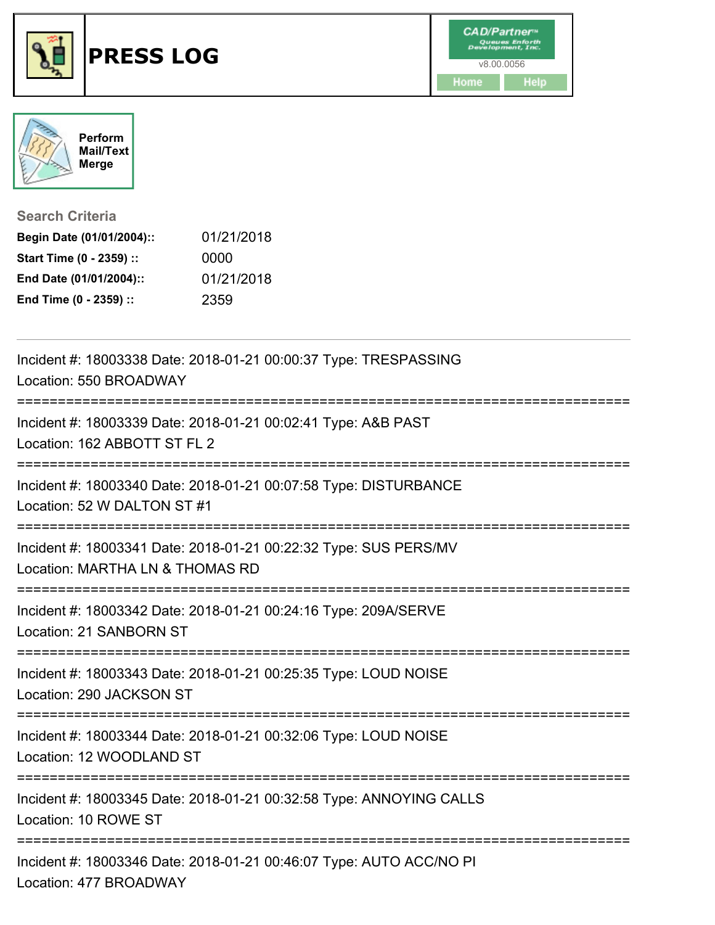



**Search Criteria**

| Begin Date (01/01/2004):: | 01/21/2018 |
|---------------------------|------------|
| Start Time (0 - 2359) ::  | 0000       |
| End Date (01/01/2004)::   | 01/21/2018 |
| End Time (0 - 2359) ::    | 2359       |

| Incident #: 18003338 Date: 2018-01-21 00:00:37 Type: TRESPASSING<br>Location: 550 BROADWAY          |
|-----------------------------------------------------------------------------------------------------|
| Incident #: 18003339 Date: 2018-01-21 00:02:41 Type: A&B PAST<br>Location: 162 ABBOTT ST FL 2       |
| Incident #: 18003340 Date: 2018-01-21 00:07:58 Type: DISTURBANCE<br>Location: 52 W DALTON ST #1     |
| Incident #: 18003341 Date: 2018-01-21 00:22:32 Type: SUS PERS/MV<br>Location: MARTHA LN & THOMAS RD |
| Incident #: 18003342 Date: 2018-01-21 00:24:16 Type: 209A/SERVE<br>Location: 21 SANBORN ST          |
| Incident #: 18003343 Date: 2018-01-21 00:25:35 Type: LOUD NOISE<br>Location: 290 JACKSON ST         |
| Incident #: 18003344 Date: 2018-01-21 00:32:06 Type: LOUD NOISE<br>Location: 12 WOODLAND ST         |
| Incident #: 18003345 Date: 2018-01-21 00:32:58 Type: ANNOYING CALLS<br>Location: 10 ROWE ST         |
| Incident #: 18003346 Date: 2018-01-21 00:46:07 Type: AUTO ACC/NO PI<br>Location: 477 BROADWAY       |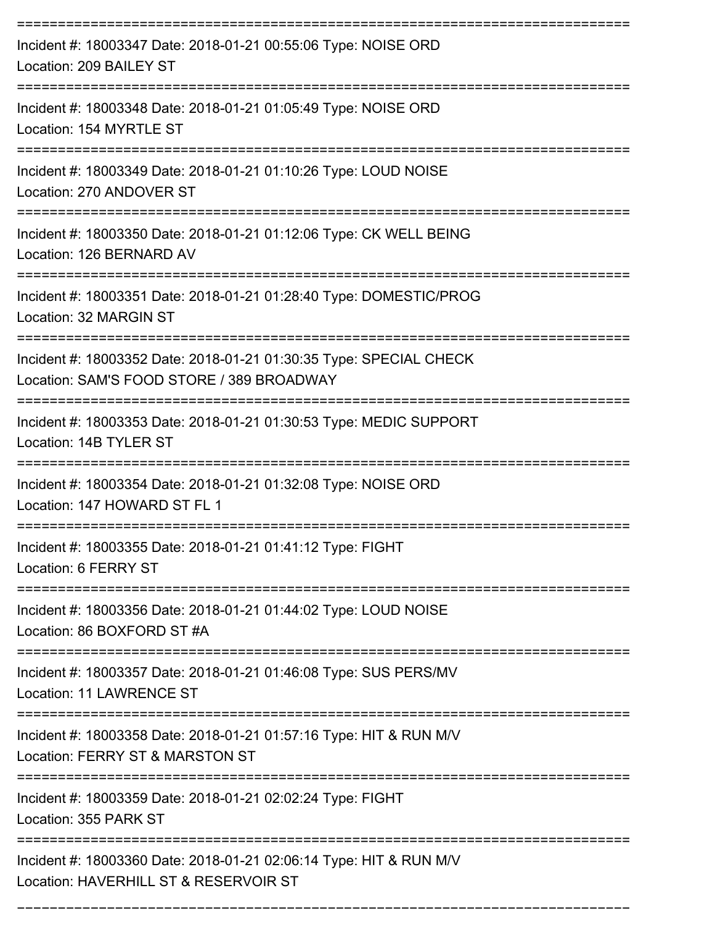| Incident #: 18003347 Date: 2018-01-21 00:55:06 Type: NOISE ORD<br>Location: 209 BAILEY ST                                 |
|---------------------------------------------------------------------------------------------------------------------------|
| Incident #: 18003348 Date: 2018-01-21 01:05:49 Type: NOISE ORD<br>Location: 154 MYRTLE ST                                 |
| Incident #: 18003349 Date: 2018-01-21 01:10:26 Type: LOUD NOISE<br>Location: 270 ANDOVER ST                               |
| Incident #: 18003350 Date: 2018-01-21 01:12:06 Type: CK WELL BEING<br>Location: 126 BERNARD AV                            |
| Incident #: 18003351 Date: 2018-01-21 01:28:40 Type: DOMESTIC/PROG<br>Location: 32 MARGIN ST                              |
| Incident #: 18003352 Date: 2018-01-21 01:30:35 Type: SPECIAL CHECK<br>Location: SAM'S FOOD STORE / 389 BROADWAY           |
| Incident #: 18003353 Date: 2018-01-21 01:30:53 Type: MEDIC SUPPORT<br>Location: 14B TYLER ST                              |
| Incident #: 18003354 Date: 2018-01-21 01:32:08 Type: NOISE ORD<br>Location: 147 HOWARD ST FL 1                            |
| Incident #: 18003355 Date: 2018-01-21 01:41:12 Type: FIGHT<br>Location: 6 FERRY ST                                        |
| Incident #: 18003356 Date: 2018-01-21 01:44:02 Type: LOUD NOISE<br>Location: 86 BOXFORD ST #A                             |
| Incident #: 18003357 Date: 2018-01-21 01:46:08 Type: SUS PERS/MV<br>Location: 11 LAWRENCE ST                              |
| Incident #: 18003358 Date: 2018-01-21 01:57:16 Type: HIT & RUN M/V<br>Location: FERRY ST & MARSTON ST                     |
| ==================================<br>Incident #: 18003359 Date: 2018-01-21 02:02:24 Type: FIGHT<br>Location: 355 PARK ST |
| Incident #: 18003360 Date: 2018-01-21 02:06:14 Type: HIT & RUN M/V<br>Location: HAVERHILL ST & RESERVOIR ST               |

===========================================================================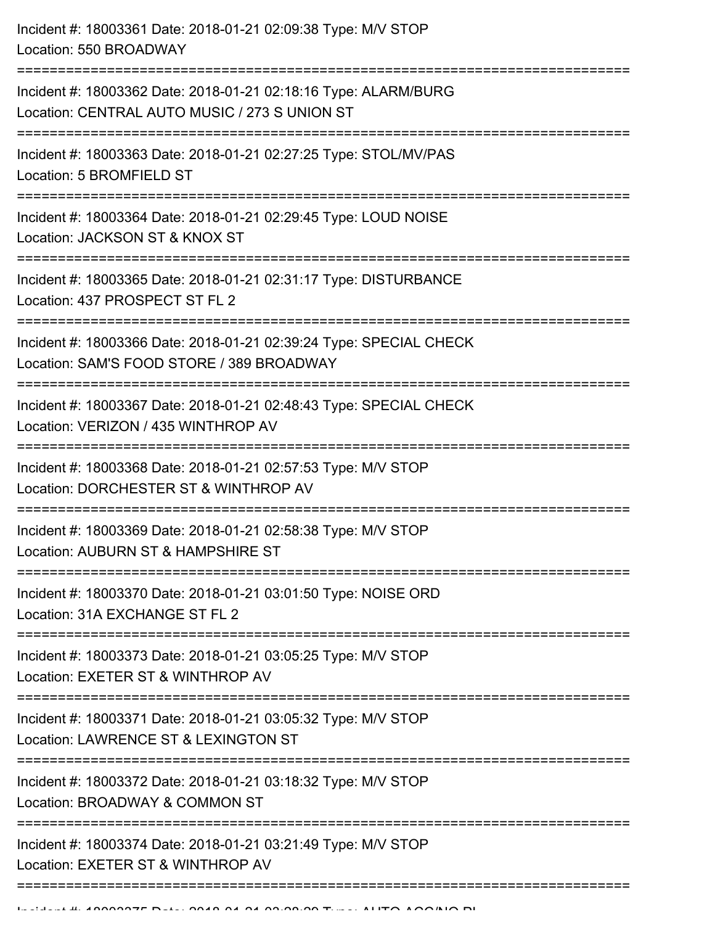| Incident #: 18003361 Date: 2018-01-21 02:09:38 Type: M/V STOP<br>Location: 550 BROADWAY                          |
|------------------------------------------------------------------------------------------------------------------|
| Incident #: 18003362 Date: 2018-01-21 02:18:16 Type: ALARM/BURG<br>Location: CENTRAL AUTO MUSIC / 273 S UNION ST |
| Incident #: 18003363 Date: 2018-01-21 02:27:25 Type: STOL/MV/PAS<br>Location: 5 BROMFIELD ST                     |
| Incident #: 18003364 Date: 2018-01-21 02:29:45 Type: LOUD NOISE<br>Location: JACKSON ST & KNOX ST                |
| Incident #: 18003365 Date: 2018-01-21 02:31:17 Type: DISTURBANCE<br>Location: 437 PROSPECT ST FL 2               |
| Incident #: 18003366 Date: 2018-01-21 02:39:24 Type: SPECIAL CHECK<br>Location: SAM'S FOOD STORE / 389 BROADWAY  |
| Incident #: 18003367 Date: 2018-01-21 02:48:43 Type: SPECIAL CHECK<br>Location: VERIZON / 435 WINTHROP AV        |
| Incident #: 18003368 Date: 2018-01-21 02:57:53 Type: M/V STOP<br>Location: DORCHESTER ST & WINTHROP AV           |
| Incident #: 18003369 Date: 2018-01-21 02:58:38 Type: M/V STOP<br>Location: AUBURN ST & HAMPSHIRE ST              |
| Incident #: 18003370 Date: 2018-01-21 03:01:50 Type: NOISE ORD<br>Location: 31A EXCHANGE ST FL 2                 |
| Incident #: 18003373 Date: 2018-01-21 03:05:25 Type: M/V STOP<br>Location: EXETER ST & WINTHROP AV               |
| Incident #: 18003371 Date: 2018-01-21 03:05:32 Type: M/V STOP<br>Location: LAWRENCE ST & LEXINGTON ST            |
| Incident #: 18003372 Date: 2018-01-21 03:18:32 Type: M/V STOP<br>Location: BROADWAY & COMMON ST                  |
| Incident #: 18003374 Date: 2018-01-21 03:21:49 Type: M/V STOP<br>Location: EXETER ST & WINTHROP AV               |
|                                                                                                                  |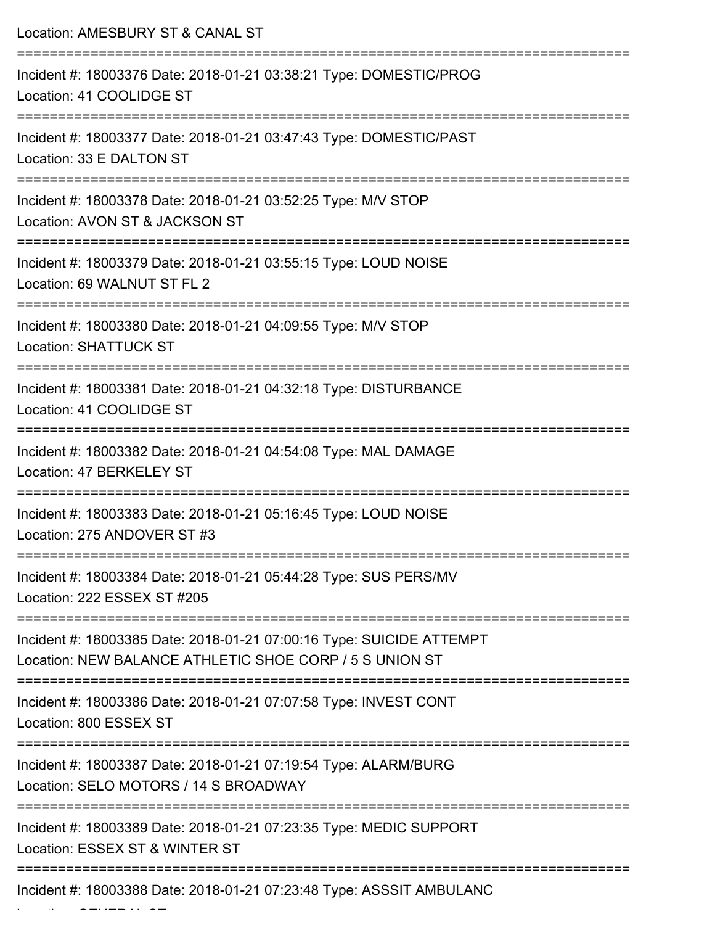| Location: AMESBURY ST & CANAL ST                                                                                                |
|---------------------------------------------------------------------------------------------------------------------------------|
| Incident #: 18003376 Date: 2018-01-21 03:38:21 Type: DOMESTIC/PROG<br>Location: 41 COOLIDGE ST                                  |
| Incident #: 18003377 Date: 2018-01-21 03:47:43 Type: DOMESTIC/PAST<br>Location: 33 E DALTON ST                                  |
| Incident #: 18003378 Date: 2018-01-21 03:52:25 Type: M/V STOP<br>Location: AVON ST & JACKSON ST                                 |
| Incident #: 18003379 Date: 2018-01-21 03:55:15 Type: LOUD NOISE<br>Location: 69 WALNUT ST FL 2                                  |
| Incident #: 18003380 Date: 2018-01-21 04:09:55 Type: M/V STOP<br><b>Location: SHATTUCK ST</b>                                   |
| Incident #: 18003381 Date: 2018-01-21 04:32:18 Type: DISTURBANCE<br>Location: 41 COOLIDGE ST                                    |
| Incident #: 18003382 Date: 2018-01-21 04:54:08 Type: MAL DAMAGE<br>Location: 47 BERKELEY ST                                     |
| Incident #: 18003383 Date: 2018-01-21 05:16:45 Type: LOUD NOISE<br>Location: 275 ANDOVER ST #3                                  |
| Incident #: 18003384 Date: 2018-01-21 05:44:28 Type: SUS PERS/MV<br>Location: 222 ESSEX ST #205                                 |
| Incident #: 18003385 Date: 2018-01-21 07:00:16 Type: SUICIDE ATTEMPT<br>Location: NEW BALANCE ATHLETIC SHOE CORP / 5 S UNION ST |
| Incident #: 18003386 Date: 2018-01-21 07:07:58 Type: INVEST CONT<br>Location: 800 ESSEX ST                                      |
| Incident #: 18003387 Date: 2018-01-21 07:19:54 Type: ALARM/BURG<br>Location: SELO MOTORS / 14 S BROADWAY                        |
| Incident #: 18003389 Date: 2018-01-21 07:23:35 Type: MEDIC SUPPORT<br>Location: ESSEX ST & WINTER ST                            |
| Incident #: 18003388 Date: 2018-01-21 07:23:48 Type: ASSSIT AMBULANC                                                            |

Location: GENERAL ST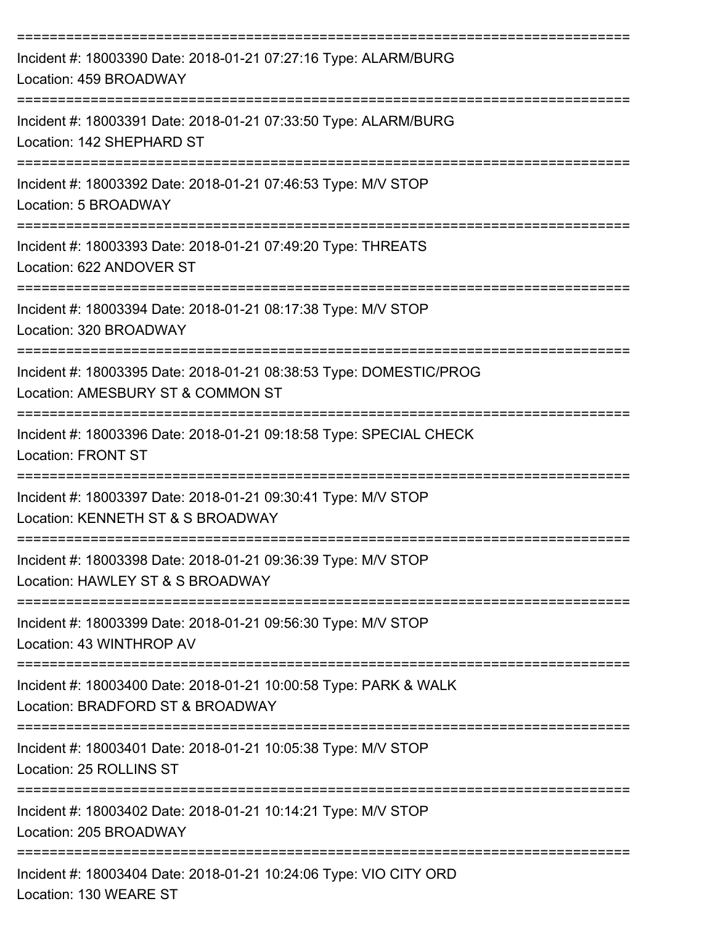| Incident #: 18003390 Date: 2018-01-21 07:27:16 Type: ALARM/BURG<br>Location: 459 BROADWAY                                                |
|------------------------------------------------------------------------------------------------------------------------------------------|
| Incident #: 18003391 Date: 2018-01-21 07:33:50 Type: ALARM/BURG<br>Location: 142 SHEPHARD ST                                             |
| Incident #: 18003392 Date: 2018-01-21 07:46:53 Type: M/V STOP<br>Location: 5 BROADWAY                                                    |
| Incident #: 18003393 Date: 2018-01-21 07:49:20 Type: THREATS<br>Location: 622 ANDOVER ST                                                 |
| Incident #: 18003394 Date: 2018-01-21 08:17:38 Type: M/V STOP<br>Location: 320 BROADWAY                                                  |
| Incident #: 18003395 Date: 2018-01-21 08:38:53 Type: DOMESTIC/PROG<br>Location: AMESBURY ST & COMMON ST                                  |
| Incident #: 18003396 Date: 2018-01-21 09:18:58 Type: SPECIAL CHECK<br><b>Location: FRONT ST</b>                                          |
| Incident #: 18003397 Date: 2018-01-21 09:30:41 Type: M/V STOP<br>Location: KENNETH ST & S BROADWAY                                       |
| Incident #: 18003398 Date: 2018-01-21 09:36:39 Type: M/V STOP<br>Location: HAWLEY ST & S BROADWAY<br>----------------------------------- |
| ---------------------------<br>Incident #: 18003399 Date: 2018-01-21 09:56:30 Type: M/V STOP<br>Location: 43 WINTHROP AV                 |
| Incident #: 18003400 Date: 2018-01-21 10:00:58 Type: PARK & WALK<br>Location: BRADFORD ST & BROADWAY                                     |
| Incident #: 18003401 Date: 2018-01-21 10:05:38 Type: M/V STOP<br>Location: 25 ROLLINS ST                                                 |
| Incident #: 18003402 Date: 2018-01-21 10:14:21 Type: M/V STOP<br>Location: 205 BROADWAY                                                  |
| Incident #: 18003404 Date: 2018-01-21 10:24:06 Type: VIO CITY ORD                                                                        |

Location: 130 WEARE ST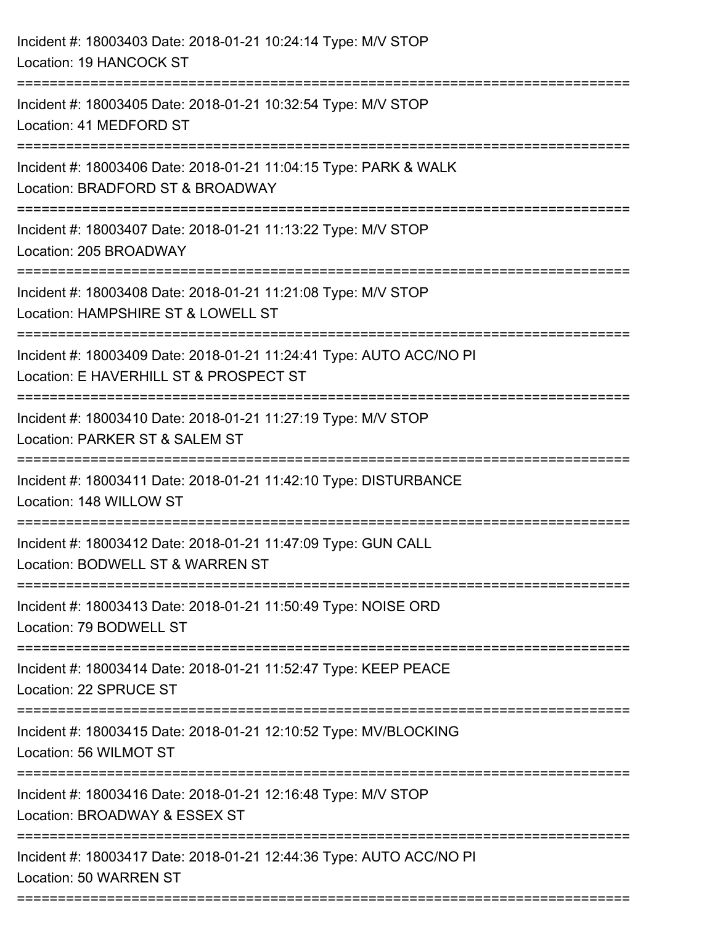| Incident #: 18003403 Date: 2018-01-21 10:24:14 Type: M/V STOP<br>Location: 19 HANCOCK ST                                          |
|-----------------------------------------------------------------------------------------------------------------------------------|
| Incident #: 18003405 Date: 2018-01-21 10:32:54 Type: M/V STOP<br>Location: 41 MEDFORD ST                                          |
| Incident #: 18003406 Date: 2018-01-21 11:04:15 Type: PARK & WALK<br>Location: BRADFORD ST & BROADWAY<br>------------------------- |
| Incident #: 18003407 Date: 2018-01-21 11:13:22 Type: M/V STOP<br>Location: 205 BROADWAY                                           |
| Incident #: 18003408 Date: 2018-01-21 11:21:08 Type: M/V STOP<br>Location: HAMPSHIRE ST & LOWELL ST<br>:=======================   |
| Incident #: 18003409 Date: 2018-01-21 11:24:41 Type: AUTO ACC/NO PI<br>Location: E HAVERHILL ST & PROSPECT ST                     |
| Incident #: 18003410 Date: 2018-01-21 11:27:19 Type: M/V STOP<br>Location: PARKER ST & SALEM ST                                   |
| Incident #: 18003411 Date: 2018-01-21 11:42:10 Type: DISTURBANCE<br>Location: 148 WILLOW ST                                       |
| Incident #: 18003412 Date: 2018-01-21 11:47:09 Type: GUN CALL<br>Location: BODWELL ST & WARREN ST                                 |
| Incident #: 18003413 Date: 2018-01-21 11:50:49 Type: NOISE ORD<br>Location: 79 BODWELL ST                                         |
| Incident #: 18003414 Date: 2018-01-21 11:52:47 Type: KEEP PEACE<br>Location: 22 SPRUCE ST                                         |
| Incident #: 18003415 Date: 2018-01-21 12:10:52 Type: MV/BLOCKING<br>Location: 56 WILMOT ST                                        |
| Incident #: 18003416 Date: 2018-01-21 12:16:48 Type: M/V STOP<br>Location: BROADWAY & ESSEX ST                                    |
| Incident #: 18003417 Date: 2018-01-21 12:44:36 Type: AUTO ACC/NO PI<br>Location: 50 WARREN ST<br>========================         |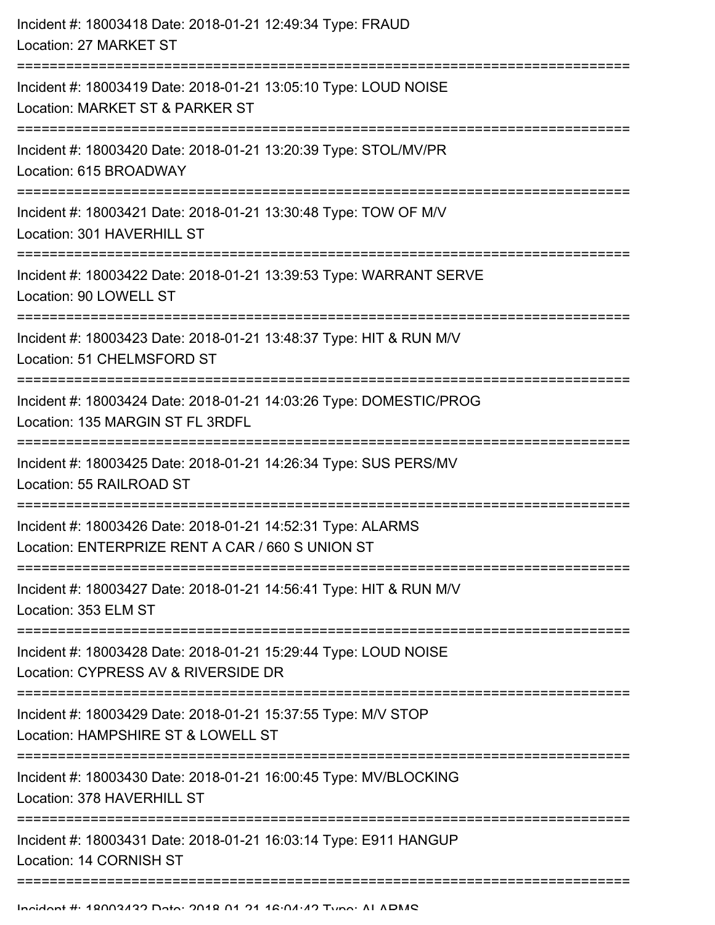| Incident #: 18003418 Date: 2018-01-21 12:49:34 Type: FRAUD<br>Location: 27 MARKET ST                            |
|-----------------------------------------------------------------------------------------------------------------|
| Incident #: 18003419 Date: 2018-01-21 13:05:10 Type: LOUD NOISE<br>Location: MARKET ST & PARKER ST              |
| Incident #: 18003420 Date: 2018-01-21 13:20:39 Type: STOL/MV/PR<br>Location: 615 BROADWAY                       |
| Incident #: 18003421 Date: 2018-01-21 13:30:48 Type: TOW OF M/V<br>Location: 301 HAVERHILL ST                   |
| Incident #: 18003422 Date: 2018-01-21 13:39:53 Type: WARRANT SERVE<br>Location: 90 LOWELL ST                    |
| Incident #: 18003423 Date: 2018-01-21 13:48:37 Type: HIT & RUN M/V<br>Location: 51 CHELMSFORD ST                |
| Incident #: 18003424 Date: 2018-01-21 14:03:26 Type: DOMESTIC/PROG<br>Location: 135 MARGIN ST FL 3RDFL          |
| Incident #: 18003425 Date: 2018-01-21 14:26:34 Type: SUS PERS/MV<br>Location: 55 RAILROAD ST                    |
| Incident #: 18003426 Date: 2018-01-21 14:52:31 Type: ALARMS<br>Location: ENTERPRIZE RENT A CAR / 660 S UNION ST |
| Incident #: 18003427 Date: 2018-01-21 14:56:41 Type: HIT & RUN M/V<br>Location: 353 ELM ST                      |
| Incident #: 18003428 Date: 2018-01-21 15:29:44 Type: LOUD NOISE<br>Location: CYPRESS AV & RIVERSIDE DR          |
| Incident #: 18003429 Date: 2018-01-21 15:37:55 Type: M/V STOP<br>Location: HAMPSHIRE ST & LOWELL ST             |
| Incident #: 18003430 Date: 2018-01-21 16:00:45 Type: MV/BLOCKING<br>Location: 378 HAVERHILL ST                  |
| Incident #: 18003431 Date: 2018-01-21 16:03:14 Type: E911 HANGUP<br>Location: 14 CORNISH ST                     |
|                                                                                                                 |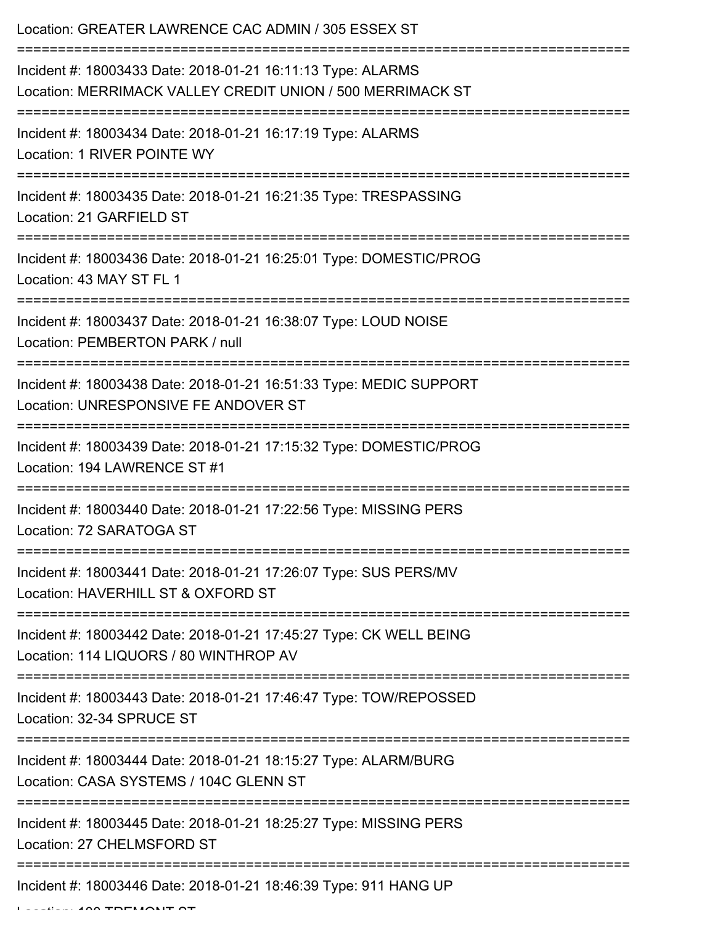| Location: GREATER LAWRENCE CAC ADMIN / 305 ESSEX ST                                                                       |
|---------------------------------------------------------------------------------------------------------------------------|
| Incident #: 18003433 Date: 2018-01-21 16:11:13 Type: ALARMS<br>Location: MERRIMACK VALLEY CREDIT UNION / 500 MERRIMACK ST |
| Incident #: 18003434 Date: 2018-01-21 16:17:19 Type: ALARMS<br>Location: 1 RIVER POINTE WY                                |
| Incident #: 18003435 Date: 2018-01-21 16:21:35 Type: TRESPASSING<br>Location: 21 GARFIELD ST                              |
| Incident #: 18003436 Date: 2018-01-21 16:25:01 Type: DOMESTIC/PROG<br>Location: 43 MAY ST FL 1                            |
| Incident #: 18003437 Date: 2018-01-21 16:38:07 Type: LOUD NOISE<br>Location: PEMBERTON PARK / null                        |
| Incident #: 18003438 Date: 2018-01-21 16:51:33 Type: MEDIC SUPPORT<br>Location: UNRESPONSIVE FE ANDOVER ST                |
| Incident #: 18003439 Date: 2018-01-21 17:15:32 Type: DOMESTIC/PROG<br>Location: 194 LAWRENCE ST #1                        |
| Incident #: 18003440 Date: 2018-01-21 17:22:56 Type: MISSING PERS<br>Location: 72 SARATOGA ST                             |
| Incident #: 18003441 Date: 2018-01-21 17:26:07 Type: SUS PERS/MV<br>Location: HAVERHILL ST & OXFORD ST                    |
| Incident #: 18003442 Date: 2018-01-21 17:45:27 Type: CK WELL BEING<br>Location: 114 LIQUORS / 80 WINTHROP AV              |
| Incident #: 18003443 Date: 2018-01-21 17:46:47 Type: TOW/REPOSSED<br>Location: 32-34 SPRUCE ST                            |
| Incident #: 18003444 Date: 2018-01-21 18:15:27 Type: ALARM/BURG<br>Location: CASA SYSTEMS / 104C GLENN ST                 |
| Incident #: 18003445 Date: 2018-01-21 18:25:27 Type: MISSING PERS<br>Location: 27 CHELMSFORD ST                           |
| Incident #: 18003446 Date: 2018-01-21 18:46:39 Type: 911 HANG UP                                                          |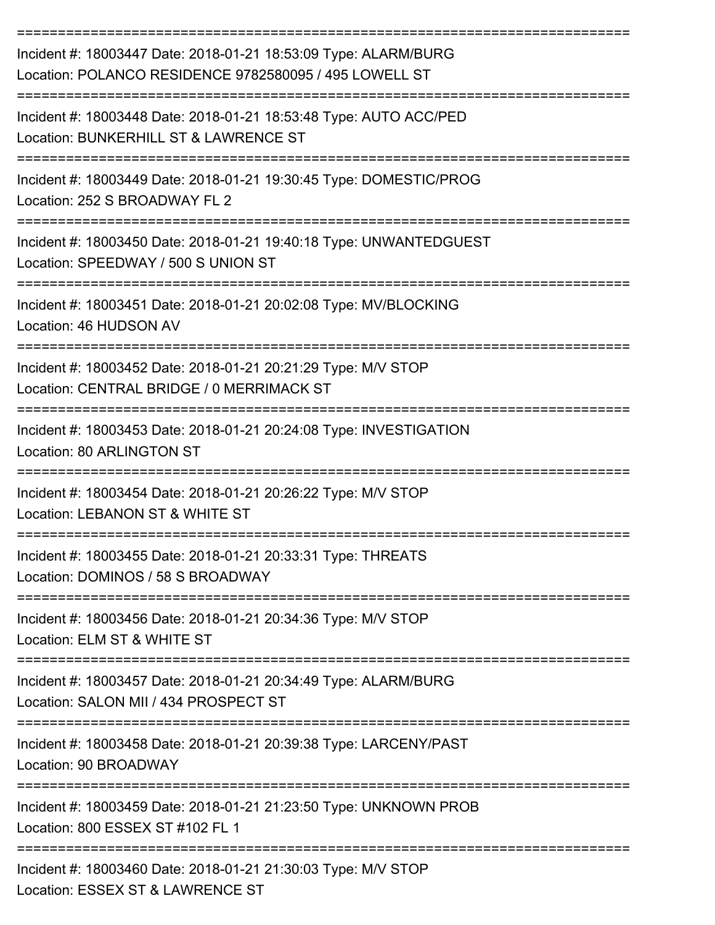| Incident #: 18003447 Date: 2018-01-21 18:53:09 Type: ALARM/BURG<br>Location: POLANCO RESIDENCE 9782580095 / 495 LOWELL ST                                              |
|------------------------------------------------------------------------------------------------------------------------------------------------------------------------|
| Incident #: 18003448 Date: 2018-01-21 18:53:48 Type: AUTO ACC/PED<br>Location: BUNKERHILL ST & LAWRENCE ST                                                             |
| Incident #: 18003449 Date: 2018-01-21 19:30:45 Type: DOMESTIC/PROG<br>Location: 252 S BROADWAY FL 2                                                                    |
| Incident #: 18003450 Date: 2018-01-21 19:40:18 Type: UNWANTEDGUEST<br>Location: SPEEDWAY / 500 S UNION ST                                                              |
| Incident #: 18003451 Date: 2018-01-21 20:02:08 Type: MV/BLOCKING<br>Location: 46 HUDSON AV                                                                             |
| Incident #: 18003452 Date: 2018-01-21 20:21:29 Type: M/V STOP<br>Location: CENTRAL BRIDGE / 0 MERRIMACK ST                                                             |
| Incident #: 18003453 Date: 2018-01-21 20:24:08 Type: INVESTIGATION<br>Location: 80 ARLINGTON ST                                                                        |
| Incident #: 18003454 Date: 2018-01-21 20:26:22 Type: M/V STOP<br>Location: LEBANON ST & WHITE ST                                                                       |
| Incident #: 18003455 Date: 2018-01-21 20:33:31 Type: THREATS<br>Location: DOMINOS / 58 S BROADWAY                                                                      |
| --------------------------------------<br>----------------------------<br>Incident #: 18003456 Date: 2018-01-21 20:34:36 Type: M/V STOP<br>Location: ELM ST & WHITE ST |
| Incident #: 18003457 Date: 2018-01-21 20:34:49 Type: ALARM/BURG<br>Location: SALON MII / 434 PROSPECT ST                                                               |
| Incident #: 18003458 Date: 2018-01-21 20:39:38 Type: LARCENY/PAST<br>Location: 90 BROADWAY                                                                             |
| Incident #: 18003459 Date: 2018-01-21 21:23:50 Type: UNKNOWN PROB<br>Location: 800 ESSEX ST #102 FL 1                                                                  |
| Incident #: 18003460 Date: 2018-01-21 21:30:03 Type: M/V STOP<br>Location: ESSEX ST & LAWRENCE ST                                                                      |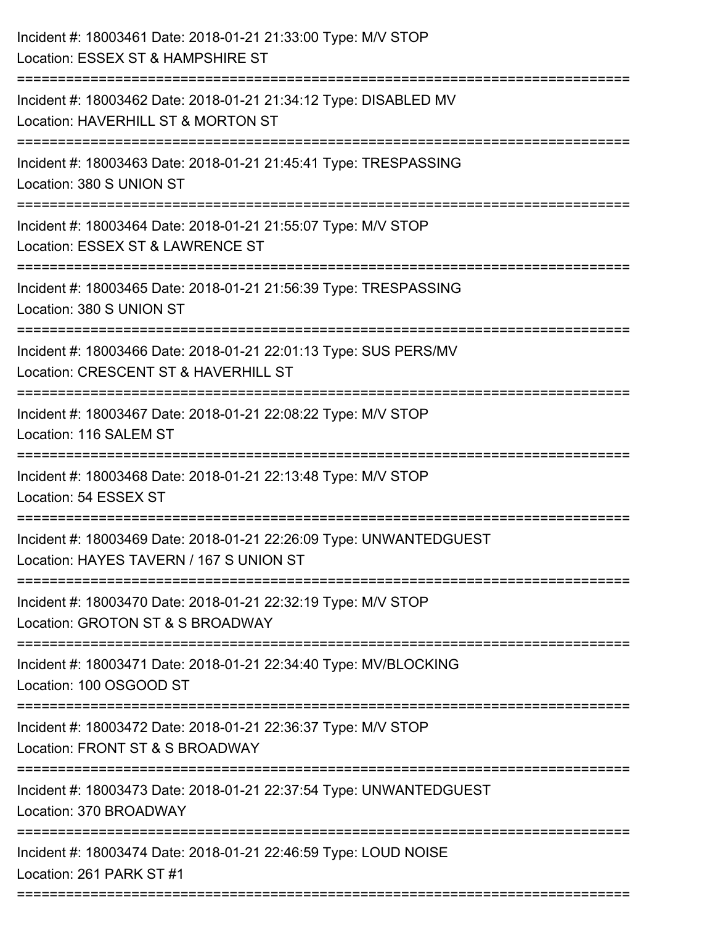| Incident #: 18003461 Date: 2018-01-21 21:33:00 Type: M/V STOP<br>Location: ESSEX ST & HAMPSHIRE ST                                 |
|------------------------------------------------------------------------------------------------------------------------------------|
| Incident #: 18003462 Date: 2018-01-21 21:34:12 Type: DISABLED MV<br>Location: HAVERHILL ST & MORTON ST                             |
| Incident #: 18003463 Date: 2018-01-21 21:45:41 Type: TRESPASSING<br>Location: 380 S UNION ST                                       |
| Incident #: 18003464 Date: 2018-01-21 21:55:07 Type: M/V STOP<br>Location: ESSEX ST & LAWRENCE ST<br>---------------               |
| Incident #: 18003465 Date: 2018-01-21 21:56:39 Type: TRESPASSING<br>Location: 380 S UNION ST                                       |
| Incident #: 18003466 Date: 2018-01-21 22:01:13 Type: SUS PERS/MV<br>Location: CRESCENT ST & HAVERHILL ST<br>====================== |
| Incident #: 18003467 Date: 2018-01-21 22:08:22 Type: M/V STOP<br>Location: 116 SALEM ST                                            |
| Incident #: 18003468 Date: 2018-01-21 22:13:48 Type: M/V STOP<br>Location: 54 ESSEX ST                                             |
| Incident #: 18003469 Date: 2018-01-21 22:26:09 Type: UNWANTEDGUEST<br>Location: HAYES TAVERN / 167 S UNION ST                      |
| Incident #: 18003470 Date: 2018-01-21 22:32:19 Type: M/V STOP<br>Location: GROTON ST & S BROADWAY                                  |
| Incident #: 18003471 Date: 2018-01-21 22:34:40 Type: MV/BLOCKING<br>Location: 100 OSGOOD ST                                        |
| Incident #: 18003472 Date: 2018-01-21 22:36:37 Type: M/V STOP<br>Location: FRONT ST & S BROADWAY                                   |
| Incident #: 18003473 Date: 2018-01-21 22:37:54 Type: UNWANTEDGUEST<br>Location: 370 BROADWAY                                       |
| Incident #: 18003474 Date: 2018-01-21 22:46:59 Type: LOUD NOISE<br>Location: 261 PARK ST #1                                        |
|                                                                                                                                    |